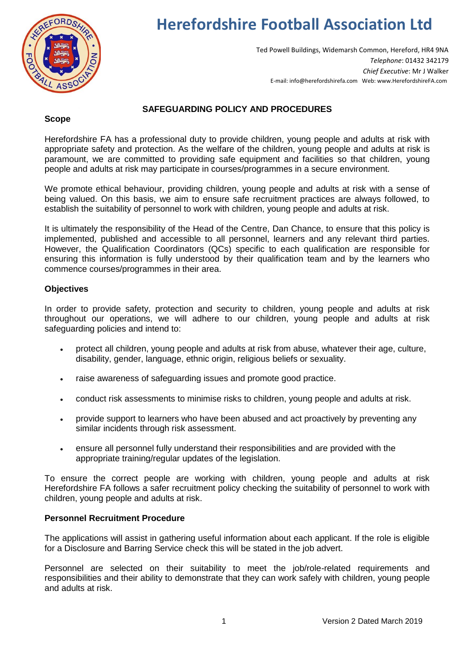

# **Herefordshire Football Association Ltd**

Ted Powell Buildings, Widemarsh Common, Hereford, HR4 9NA *Telephone*: 01432 342179 *Chief Executive*: Mr J Walker E-mail: info@herefordshirefa.com Web: www.HerefordshireFA.com

## **SAFEGUARDING POLICY AND PROCEDURES**

#### **Scope**

Herefordshire FA has a professional duty to provide children, young people and adults at risk with appropriate safety and protection. As the welfare of the children, young people and adults at risk is paramount, we are committed to providing safe equipment and facilities so that children, young people and adults at risk may participate in courses/programmes in a secure environment.

We promote ethical behaviour, providing children, young people and adults at risk with a sense of being valued. On this basis, we aim to ensure safe recruitment practices are always followed, to establish the suitability of personnel to work with children, young people and adults at risk.

It is ultimately the responsibility of the Head of the Centre, Dan Chance, to ensure that this policy is implemented, published and accessible to all personnel, learners and any relevant third parties. However, the Qualification Coordinators (QCs) specific to each qualification are responsible for ensuring this information is fully understood by their qualification team and by the learners who commence courses/programmes in their area.

### **Objectives**

In order to provide safety, protection and security to children, young people and adults at risk throughout our operations, we will adhere to our children, young people and adults at risk safeguarding policies and intend to:

- protect all children, young people and adults at risk from abuse, whatever their age, culture, disability, gender, language, ethnic origin, religious beliefs or sexuality.
- raise awareness of safeguarding issues and promote good practice.
- conduct risk assessments to minimise risks to children, young people and adults at risk.
- provide support to learners who have been abused and act proactively by preventing any similar incidents through risk assessment.
- ensure all personnel fully understand their responsibilities and are provided with the appropriate training/regular updates of the legislation.

To ensure the correct people are working with children, young people and adults at risk Herefordshire FA follows a safer recruitment policy checking the suitability of personnel to work with children, young people and adults at risk.

### **Personnel Recruitment Procedure**

The applications will assist in gathering useful information about each applicant. If the role is eligible for a Disclosure and Barring Service check this will be stated in the job advert.

Personnel are selected on their suitability to meet the job/role-related requirements and responsibilities and their ability to demonstrate that they can work safely with children, young people and adults at risk.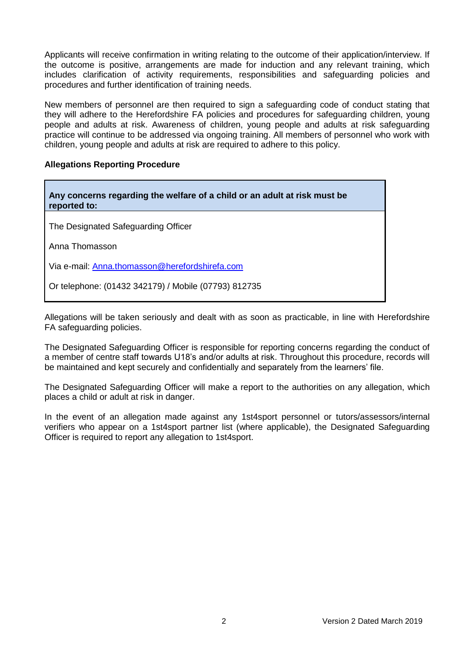Applicants will receive confirmation in writing relating to the outcome of their application/interview. If the outcome is positive, arrangements are made for induction and any relevant training, which includes clarification of activity requirements, responsibilities and safeguarding policies and procedures and further identification of training needs.

New members of personnel are then required to sign a safeguarding code of conduct stating that they will adhere to the Herefordshire FA policies and procedures for safeguarding children, young people and adults at risk. Awareness of children, young people and adults at risk safeguarding practice will continue to be addressed via ongoing training. All members of personnel who work with children, young people and adults at risk are required to adhere to this policy.

### **Allegations Reporting Procedure**

| Any concerns regarding the welfare of a child or an adult at risk must be<br>reported to: |  |
|-------------------------------------------------------------------------------------------|--|
| The Designated Safeguarding Officer                                                       |  |
| Anna Thomasson                                                                            |  |
| Via e-mail: Anna.thomasson@herefordshirefa.com                                            |  |
| Or telephone: (01432 342179) / Mobile (07793) 812735                                      |  |

Allegations will be taken seriously and dealt with as soon as practicable, in line with Herefordshire FA safeguarding policies.

The Designated Safeguarding Officer is responsible for reporting concerns regarding the conduct of a member of centre staff towards U18's and/or adults at risk. Throughout this procedure, records will be maintained and kept securely and confidentially and separately from the learners' file.

The Designated Safeguarding Officer will make a report to the authorities on any allegation, which places a child or adult at risk in danger.

In the event of an allegation made against any 1st4sport personnel or tutors/assessors/internal verifiers who appear on a 1st4sport partner list (where applicable), the Designated Safeguarding Officer is required to report any allegation to 1st4sport.